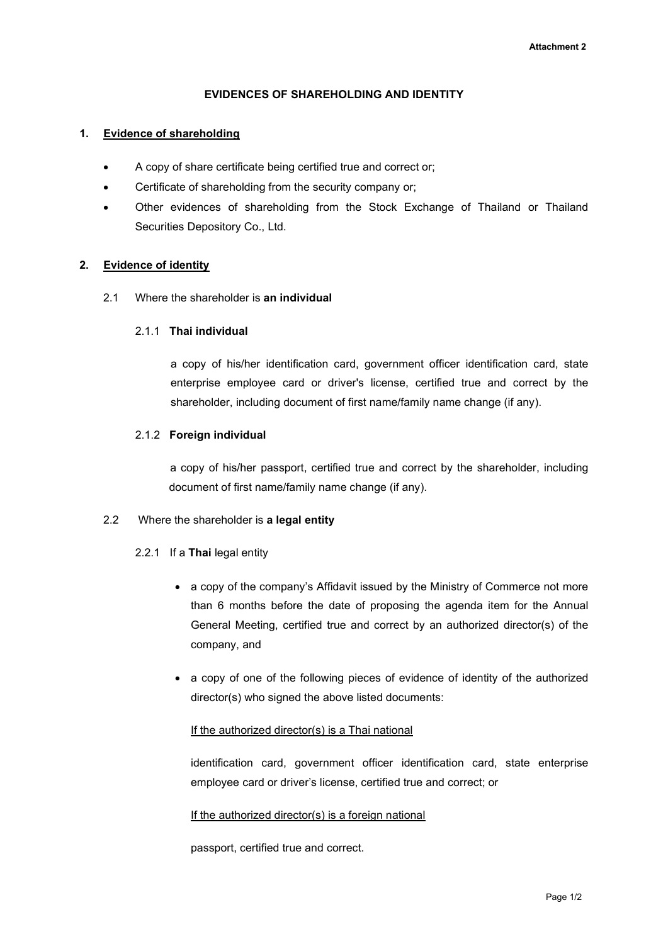### EVIDENCES OF SHAREHOLDING AND IDENTITY

### 1. Evidence of shareholding

- A copy of share certificate being certified true and correct or;
- Certificate of shareholding from the security company or;
- Other evidences of shareholding from the Stock Exchange of Thailand or Thailand Securities Depository Co., Ltd.

## 2. Evidence of identity

2.1 Where the shareholder is an individual

#### 2.1.1 Thai individual

a copy of his/her identification card, government officer identification card, state enterprise employee card or driver's license, certified true and correct by the shareholder, including document of first name/family name change (if any).

## 2.1.2 Foreign individual

 a copy of his/her passport, certified true and correct by the shareholder, including document of first name/family name change (if any).

#### 2.2 Where the shareholder is a legal entity

## 2.2.1 If a Thai legal entity

- a copy of the company's Affidavit issued by the Ministry of Commerce not more than 6 months before the date of proposing the agenda item for the Annual General Meeting, certified true and correct by an authorized director(s) of the company, and
- a copy of one of the following pieces of evidence of identity of the authorized director(s) who signed the above listed documents:

#### If the authorized director(s) is a Thai national

identification card, government officer identification card, state enterprise employee card or driver's license, certified true and correct; or

## If the authorized director(s) is a foreign national

passport, certified true and correct.